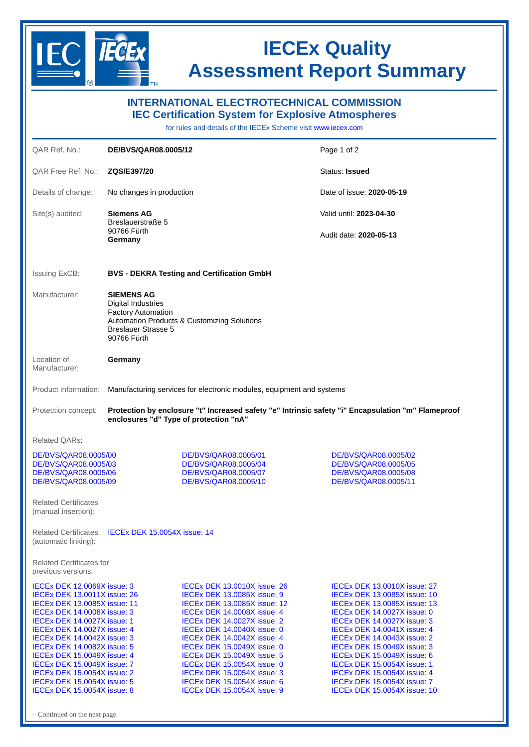

## **IECEx Quality Assessment Report Summary**

| <b>INTERNATIONAL ELECTROTECHNICAL COMMISSION</b><br><b>IEC Certification System for Explosive Atmospheres</b><br>for rules and details of the IECEx Scheme visit www.jecex.com                                                                                                                                                                                                                                                         |                                                                                                                                                                         |                                                                                                                                                                                                                                                                                                                                                                                                                                        |                                                                                                                                                                                                                                                                                                                                                                                                                                                        |  |
|----------------------------------------------------------------------------------------------------------------------------------------------------------------------------------------------------------------------------------------------------------------------------------------------------------------------------------------------------------------------------------------------------------------------------------------|-------------------------------------------------------------------------------------------------------------------------------------------------------------------------|----------------------------------------------------------------------------------------------------------------------------------------------------------------------------------------------------------------------------------------------------------------------------------------------------------------------------------------------------------------------------------------------------------------------------------------|--------------------------------------------------------------------------------------------------------------------------------------------------------------------------------------------------------------------------------------------------------------------------------------------------------------------------------------------------------------------------------------------------------------------------------------------------------|--|
| QAR Ref. No.:                                                                                                                                                                                                                                                                                                                                                                                                                          | DE/BVS/QAR08.0005/12                                                                                                                                                    |                                                                                                                                                                                                                                                                                                                                                                                                                                        | Page 1 of 2                                                                                                                                                                                                                                                                                                                                                                                                                                            |  |
| QAR Free Ref. No.:                                                                                                                                                                                                                                                                                                                                                                                                                     | ZQS/E397/20                                                                                                                                                             |                                                                                                                                                                                                                                                                                                                                                                                                                                        | Status: <b>Issued</b>                                                                                                                                                                                                                                                                                                                                                                                                                                  |  |
| Details of change:                                                                                                                                                                                                                                                                                                                                                                                                                     | No changes in production                                                                                                                                                |                                                                                                                                                                                                                                                                                                                                                                                                                                        | Date of issue: 2020-05-19                                                                                                                                                                                                                                                                                                                                                                                                                              |  |
| Site(s) audited:                                                                                                                                                                                                                                                                                                                                                                                                                       | <b>Siemens AG</b><br>Breslauerstraße 5<br>90766 Fürth<br>Germany                                                                                                        |                                                                                                                                                                                                                                                                                                                                                                                                                                        | Valid until: 2023-04-30<br>Audit date: 2020-05-13                                                                                                                                                                                                                                                                                                                                                                                                      |  |
| <b>Issuing ExCB:</b><br><b>BVS - DEKRA Testing and Certification GmbH</b>                                                                                                                                                                                                                                                                                                                                                              |                                                                                                                                                                         |                                                                                                                                                                                                                                                                                                                                                                                                                                        |                                                                                                                                                                                                                                                                                                                                                                                                                                                        |  |
| Manufacturer:                                                                                                                                                                                                                                                                                                                                                                                                                          | <b>SIEMENS AG</b><br><b>Digital Industries</b><br><b>Factory Automation</b><br>Automation Products & Customizing Solutions<br><b>Breslauer Strasse 5</b><br>90766 Fürth |                                                                                                                                                                                                                                                                                                                                                                                                                                        |                                                                                                                                                                                                                                                                                                                                                                                                                                                        |  |
| Location of<br>Manufacturer:                                                                                                                                                                                                                                                                                                                                                                                                           | Germany                                                                                                                                                                 |                                                                                                                                                                                                                                                                                                                                                                                                                                        |                                                                                                                                                                                                                                                                                                                                                                                                                                                        |  |
| Product information:                                                                                                                                                                                                                                                                                                                                                                                                                   | Manufacturing services for electronic modules, equipment and systems                                                                                                    |                                                                                                                                                                                                                                                                                                                                                                                                                                        |                                                                                                                                                                                                                                                                                                                                                                                                                                                        |  |
| Protection by enclosure "t" Increased safety "e" Intrinsic safety "i" Encapsulation "m" Flameproof<br>Protection concept:<br>enclosures "d" Type of protection "nA"                                                                                                                                                                                                                                                                    |                                                                                                                                                                         |                                                                                                                                                                                                                                                                                                                                                                                                                                        |                                                                                                                                                                                                                                                                                                                                                                                                                                                        |  |
| <b>Related QARs:</b>                                                                                                                                                                                                                                                                                                                                                                                                                   |                                                                                                                                                                         |                                                                                                                                                                                                                                                                                                                                                                                                                                        |                                                                                                                                                                                                                                                                                                                                                                                                                                                        |  |
| DE/BVS/QAR08.0005/00<br>DE/BVS/QAR08.0005/03<br>DE/BVS/QAR08.0005/06<br>DE/BVS/QAR08.0005/09<br><b>Related Certificates</b>                                                                                                                                                                                                                                                                                                            |                                                                                                                                                                         | DE/BVS/QAR08.0005/01<br>DE/BVS/QAR08.0005/04<br>DE/BVS/QAR08.0005/07<br>DE/BVS/QAR08.0005/10                                                                                                                                                                                                                                                                                                                                           | DE/BVS/QAR08.0005/02<br>DE/BVS/QAR08.0005/05<br>DE/BVS/QAR08.0005/08<br>DE/BVS/QAR08.0005/11                                                                                                                                                                                                                                                                                                                                                           |  |
| (manual insertion):                                                                                                                                                                                                                                                                                                                                                                                                                    |                                                                                                                                                                         |                                                                                                                                                                                                                                                                                                                                                                                                                                        |                                                                                                                                                                                                                                                                                                                                                                                                                                                        |  |
| <b>Related Certificates</b><br><b>IECEX DEK 15.0054X issue: 14</b><br>(automatic linking):                                                                                                                                                                                                                                                                                                                                             |                                                                                                                                                                         |                                                                                                                                                                                                                                                                                                                                                                                                                                        |                                                                                                                                                                                                                                                                                                                                                                                                                                                        |  |
| <b>Related Certificates for</b><br>previous versions:                                                                                                                                                                                                                                                                                                                                                                                  |                                                                                                                                                                         |                                                                                                                                                                                                                                                                                                                                                                                                                                        |                                                                                                                                                                                                                                                                                                                                                                                                                                                        |  |
| IECEX DEK 12.0069X issue: 3<br>IECEX DEK 13.0011X issue: 26<br><b>IECEX DEK 13.0085X issue: 11</b><br>IECEX DEK 14.0008X issue: 3<br>IECEX DEK 14.0027X issue: 1<br>IECEX DEK 14.0027X issue: 4<br>IECEX DEK 14.0042X issue: 3<br><b>IECEX DEK 14.0082X issue: 5</b><br>IECEX DEK 15.0049X issue: 4<br>IECEX DEK 15.0049X issue: 7<br>IECEX DEK 15.0054X issue: 2<br><b>IECEX DEK 15.0054X issue: 5</b><br>IECEX DEK 15.0054X issue: 8 |                                                                                                                                                                         | <b>IECEX DEK 13.0010X issue: 26</b><br>IECEX DEK 13.0085X issue: 9<br><b>IECEX DEK 13.0085X issue: 12</b><br>IECEX DEK 14.0008X issue: 4<br>IECEX DEK 14.0027X issue: 2<br>IECEX DEK 14.0040X issue: 0<br>IECEX DEK 14.0042X issue: 4<br><b>IECEX DEK 15.0049X issue: 0</b><br>IECEX DEK 15.0049X issue: 5<br>IECEX DEK 15.0054X issue: 0<br>IECEX DEK 15.0054X issue: 3<br>IECEX DEK 15.0054X issue: 6<br>IECEX DEK 15.0054X issue: 9 | <b>IECEX DEK 13.0010X issue: 27</b><br><b>IECEX DEK 13,0085X issue: 10</b><br><b>IECEX DEK 13.0085X issue: 13</b><br><b>IECEX DEK 14.0027X issue: 0</b><br>IECEX DEK 14.0027X issue: 3<br>IECEX DEK 14.0041X issue: 4<br>IECEX DEK 14.0043X issue: 2<br>IECEX DEK 15.0049X issue: 3<br>IECEX DEK 15.0049X issue: 6<br>IECEx DEK 15.0054X issue: 1<br>IECEX DEK 15.0054X issue: 4<br>IECEX DEK 15.0054X issue: 7<br><b>IECEX DEK 15.0054X issue: 10</b> |  |

Continued on the next page